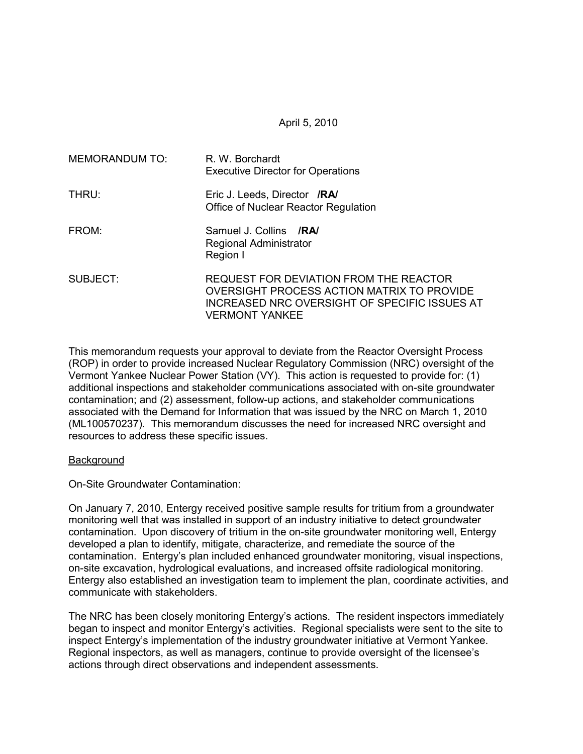#### April 5, 2010

| MEMORANDUM TO: | R. W. Borchardt<br><b>Executive Director for Operations</b>                                                                                                    |  |  |  |
|----------------|----------------------------------------------------------------------------------------------------------------------------------------------------------------|--|--|--|
| THRU:          | Eric J. Leeds, Director /RA/<br>Office of Nuclear Reactor Regulation                                                                                           |  |  |  |
| FROM:          | Samuel J. Collins /RA/<br>Regional Administrator<br>Region I                                                                                                   |  |  |  |
| SUBJECT:       | <b>REQUEST FOR DEVIATION FROM THE REACTOR</b><br>OVERSIGHT PROCESS ACTION MATRIX TO PROVIDE<br>INCREASED NRC OVERSIGHT OF SPECIFIC ISSUES AT<br>VERMONT YANKEE |  |  |  |

This memorandum requests your approval to deviate from the Reactor Oversight Process (ROP) in order to provide increased Nuclear Regulatory Commission (NRC) oversight of the Vermont Yankee Nuclear Power Station (VY). This action is requested to provide for: (1) additional inspections and stakeholder communications associated with on-site groundwater contamination; and (2) assessment, follow-up actions, and stakeholder communications associated with the Demand for Information that was issued by the NRC on March 1, 2010 (ML100570237). This memorandum discusses the need for increased NRC oversight and resources to address these specific issues.

#### **Background**

On-Site Groundwater Contamination:

On January 7, 2010, Entergy received positive sample results for tritium from a groundwater monitoring well that was installed in support of an industry initiative to detect groundwater contamination. Upon discovery of tritium in the on-site groundwater monitoring well, Entergy developed a plan to identify, mitigate, characterize, and remediate the source of the contamination. Entergy's plan included enhanced groundwater monitoring, visual inspections, on-site excavation, hydrological evaluations, and increased offsite radiological monitoring. Entergy also established an investigation team to implement the plan, coordinate activities, and communicate with stakeholders.

The NRC has been closely monitoring Entergy's actions. The resident inspectors immediately began to inspect and monitor Entergy's activities. Regional specialists were sent to the site to inspect Entergy's implementation of the industry groundwater initiative at Vermont Yankee. Regional inspectors, as well as managers, continue to provide oversight of the licensee's actions through direct observations and independent assessments.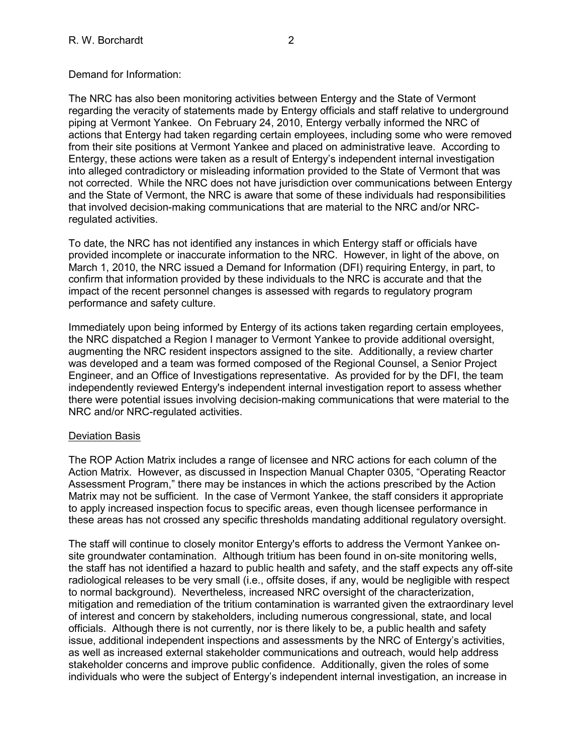The NRC has also been monitoring activities between Entergy and the State of Vermont regarding the veracity of statements made by Entergy officials and staff relative to underground piping at Vermont Yankee. On February 24, 2010, Entergy verbally informed the NRC of actions that Entergy had taken regarding certain employees, including some who were removed from their site positions at Vermont Yankee and placed on administrative leave. According to Entergy, these actions were taken as a result of Entergy's independent internal investigation into alleged contradictory or misleading information provided to the State of Vermont that was not corrected. While the NRC does not have jurisdiction over communications between Entergy and the State of Vermont, the NRC is aware that some of these individuals had responsibilities that involved decision-making communications that are material to the NRC and/or NRCregulated activities.

To date, the NRC has not identified any instances in which Entergy staff or officials have provided incomplete or inaccurate information to the NRC. However, in light of the above, on March 1, 2010, the NRC issued a Demand for Information (DFI) requiring Entergy, in part, to confirm that information provided by these individuals to the NRC is accurate and that the impact of the recent personnel changes is assessed with regards to regulatory program performance and safety culture.

Immediately upon being informed by Entergy of its actions taken regarding certain employees, the NRC dispatched a Region I manager to Vermont Yankee to provide additional oversight, augmenting the NRC resident inspectors assigned to the site. Additionally, a review charter was developed and a team was formed composed of the Regional Counsel, a Senior Project Engineer, and an Office of Investigations representative. As provided for by the DFI, the team independently reviewed Entergy's independent internal investigation report to assess whether there were potential issues involving decision-making communications that were material to the NRC and/or NRC-regulated activities.

## Deviation Basis

The ROP Action Matrix includes a range of licensee and NRC actions for each column of the Action Matrix. However, as discussed in Inspection Manual Chapter 0305, "Operating Reactor Assessment Program," there may be instances in which the actions prescribed by the Action Matrix may not be sufficient. In the case of Vermont Yankee, the staff considers it appropriate to apply increased inspection focus to specific areas, even though licensee performance in these areas has not crossed any specific thresholds mandating additional regulatory oversight.

The staff will continue to closely monitor Entergy's efforts to address the Vermont Yankee onsite groundwater contamination. Although tritium has been found in on-site monitoring wells, the staff has not identified a hazard to public health and safety, and the staff expects any off-site radiological releases to be very small (i.e., offsite doses, if any, would be negligible with respect to normal background). Nevertheless, increased NRC oversight of the characterization, mitigation and remediation of the tritium contamination is warranted given the extraordinary level of interest and concern by stakeholders, including numerous congressional, state, and local officials. Although there is not currently, nor is there likely to be, a public health and safety issue, additional independent inspections and assessments by the NRC of Entergy's activities, as well as increased external stakeholder communications and outreach, would help address stakeholder concerns and improve public confidence. Additionally, given the roles of some individuals who were the subject of Entergy's independent internal investigation, an increase in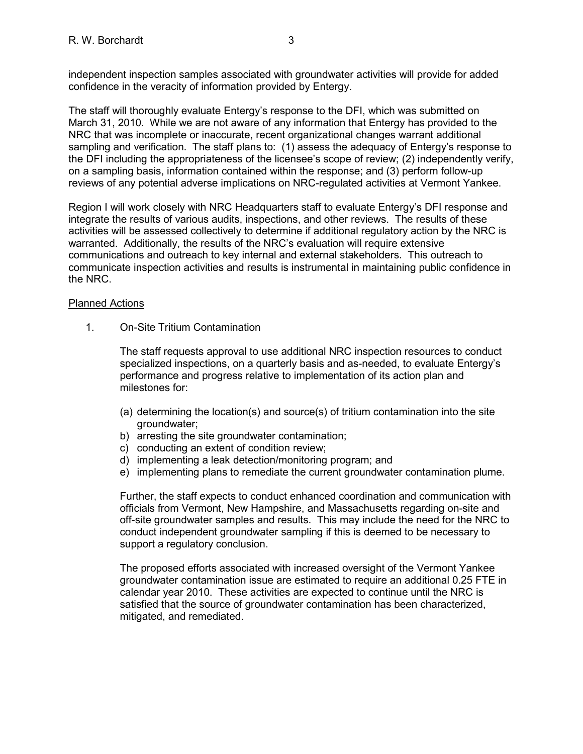independent inspection samples associated with groundwater activities will provide for added confidence in the veracity of information provided by Entergy.

The staff will thoroughly evaluate Entergy's response to the DFI, which was submitted on March 31, 2010. While we are not aware of any information that Entergy has provided to the NRC that was incomplete or inaccurate, recent organizational changes warrant additional sampling and verification. The staff plans to: (1) assess the adequacy of Entergy's response to the DFI including the appropriateness of the licensee's scope of review; (2) independently verify, on a sampling basis, information contained within the response; and (3) perform follow-up reviews of any potential adverse implications on NRC-regulated activities at Vermont Yankee.

Region I will work closely with NRC Headquarters staff to evaluate Entergy's DFI response and integrate the results of various audits, inspections, and other reviews. The results of these activities will be assessed collectively to determine if additional regulatory action by the NRC is warranted. Additionally, the results of the NRC's evaluation will require extensive communications and outreach to key internal and external stakeholders. This outreach to communicate inspection activities and results is instrumental in maintaining public confidence in the NRC.

## Planned Actions

1. On-Site Tritium Contamination

The staff requests approval to use additional NRC inspection resources to conduct specialized inspections, on a quarterly basis and as-needed, to evaluate Entergy's performance and progress relative to implementation of its action plan and milestones for:

- (a) determining the location(s) and source(s) of tritium contamination into the site groundwater;
- b) arresting the site groundwater contamination;
- c) conducting an extent of condition review;
- d) implementing a leak detection/monitoring program; and
- e) implementing plans to remediate the current groundwater contamination plume.

Further, the staff expects to conduct enhanced coordination and communication with officials from Vermont, New Hampshire, and Massachusetts regarding on-site and off-site groundwater samples and results. This may include the need for the NRC to conduct independent groundwater sampling if this is deemed to be necessary to support a regulatory conclusion.

The proposed efforts associated with increased oversight of the Vermont Yankee groundwater contamination issue are estimated to require an additional 0.25 FTE in calendar year 2010. These activities are expected to continue until the NRC is satisfied that the source of groundwater contamination has been characterized, mitigated, and remediated.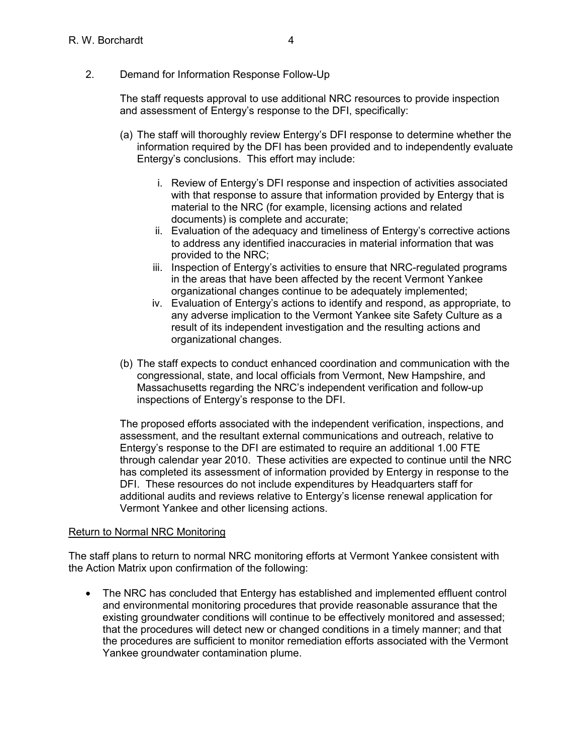The staff requests approval to use additional NRC resources to provide inspection and assessment of Entergy's response to the DFI, specifically:

- (a) The staff will thoroughly review Entergy's DFI response to determine whether the information required by the DFI has been provided and to independently evaluate Entergy's conclusions. This effort may include:
	- i. Review of Entergy's DFI response and inspection of activities associated with that response to assure that information provided by Entergy that is material to the NRC (for example, licensing actions and related documents) is complete and accurate;
	- ii. Evaluation of the adequacy and timeliness of Entergy's corrective actions to address any identified inaccuracies in material information that was provided to the NRC;
	- iii. Inspection of Entergy's activities to ensure that NRC-regulated programs in the areas that have been affected by the recent Vermont Yankee organizational changes continue to be adequately implemented;
	- iv. Evaluation of Entergy's actions to identify and respond, as appropriate, to any adverse implication to the Vermont Yankee site Safety Culture as a result of its independent investigation and the resulting actions and organizational changes.
- (b) The staff expects to conduct enhanced coordination and communication with the congressional, state, and local officials from Vermont, New Hampshire, and Massachusetts regarding the NRC's independent verification and follow-up inspections of Entergy's response to the DFI.

The proposed efforts associated with the independent verification, inspections, and assessment, and the resultant external communications and outreach, relative to Entergy's response to the DFI are estimated to require an additional 1.00 FTE through calendar year 2010. These activities are expected to continue until the NRC has completed its assessment of information provided by Entergy in response to the DFI. These resources do not include expenditures by Headquarters staff for additional audits and reviews relative to Entergy's license renewal application for Vermont Yankee and other licensing actions.

## Return to Normal NRC Monitoring

The staff plans to return to normal NRC monitoring efforts at Vermont Yankee consistent with the Action Matrix upon confirmation of the following:

• The NRC has concluded that Entergy has established and implemented effluent control and environmental monitoring procedures that provide reasonable assurance that the existing groundwater conditions will continue to be effectively monitored and assessed; that the procedures will detect new or changed conditions in a timely manner; and that the procedures are sufficient to monitor remediation efforts associated with the Vermont Yankee groundwater contamination plume.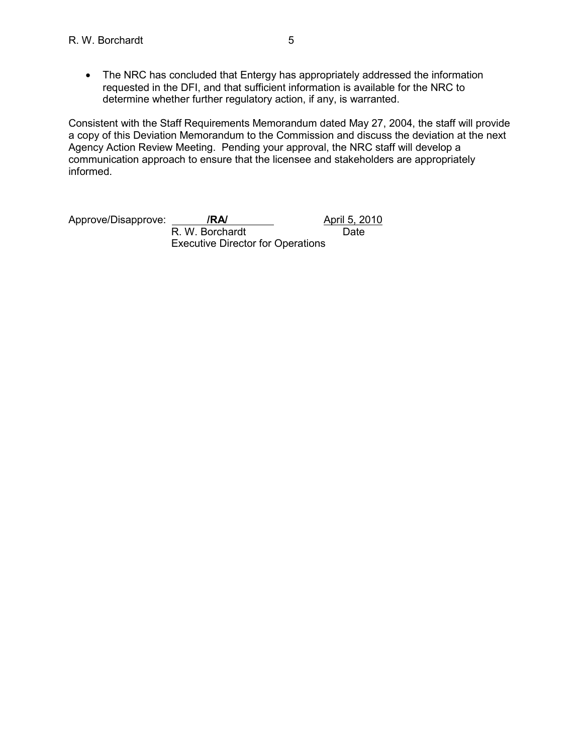• The NRC has concluded that Entergy has appropriately addressed the information requested in the DFI, and that sufficient information is available for the NRC to determine whether further regulatory action, if any, is warranted.

Consistent with the Staff Requirements Memorandum dated May 27, 2004, the staff will provide a copy of this Deviation Memorandum to the Commission and discuss the deviation at the next Agency Action Review Meeting. Pending your approval, the NRC staff will develop a communication approach to ensure that the licensee and stakeholders are appropriately informed.

Approve/Disapprove: **/RA/** Approve/Disapprove: **/RA/** April 5, 2010 R. W. Borchardt Date Executive Director for Operations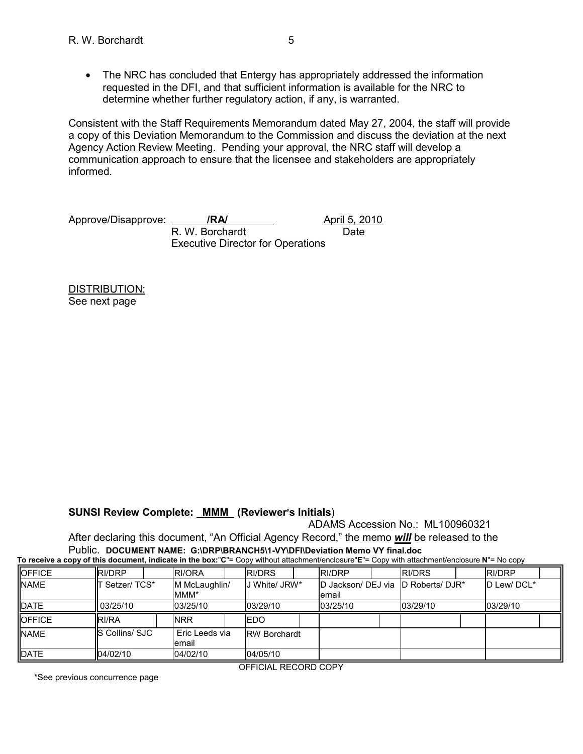• The NRC has concluded that Entergy has appropriately addressed the information requested in the DFI, and that sufficient information is available for the NRC to determine whether further regulatory action, if any, is warranted.

Consistent with the Staff Requirements Memorandum dated May 27, 2004, the staff will provide a copy of this Deviation Memorandum to the Commission and discuss the deviation at the next Agency Action Review Meeting. Pending your approval, the NRC staff will develop a communication approach to ensure that the licensee and stakeholders are appropriately informed.

Approve/Disapprove: **/RA/** Approve/Disapprove: **/RA/** April 5, 2010

R. W. Borchardt Date Executive Director for Operations

DISTRIBUTION: See next page

# **SUNSI Review Complete: MMM (Reviewer's Initials)**

ADAMS Accession No.: ML100960321

After declaring this document, "An Official Agency Record," the memo *will* be released to the Public. **DOCUMENT NAME: G:\DRP\BRANCH5\1-VY\DFI\Deviation Memo VY final.doc To receive a copy of this document, indicate in the box:**"**C**"= Copy without attachment/enclosure"**E**"= Copy with attachment/enclosure **N**"= No copy

| TO TOODIVO & OOD V OF HIID QOOGITION, INQIOQIO IN LIIO DOAT O<br>$\sim$<br><b>OUNT MILLI GILGOLILLICITY CHOLOGIC IT THO OUNT</b> |                |                          |                     |                                               |               |               |  |  |
|----------------------------------------------------------------------------------------------------------------------------------|----------------|--------------------------|---------------------|-----------------------------------------------|---------------|---------------|--|--|
| <b>OFFICE</b>                                                                                                                    | RI/DRP         | <b>RI/ORA</b>            | RI/DRS              | <b>RI/DRP</b>                                 | <b>RI/DRS</b> | <b>RI/DRP</b> |  |  |
| <b>NAME</b>                                                                                                                      | Setzer/TCS*    | M McLaughlin/<br>MMM*    | J White/ JRW*       | D Jackson/ DEJ via ID Roberts/ DJR*<br>lemail |               | D Lew/DCL*    |  |  |
| <b>DATE</b>                                                                                                                      | 03/25/10       | 03/25/10                 | 03/29/10            | 03/25/10                                      | 03/29/10      | 03/29/10      |  |  |
| <b>OFFICE</b>                                                                                                                    | RI/RA          | <b>NRR</b>               | <b>IEDO</b>         |                                               |               |               |  |  |
| <b>NAME</b>                                                                                                                      | S Collins/ SJC | Eric Leeds via<br>lemail | <b>RW Borchardt</b> |                                               |               |               |  |  |
| <b>DATE</b>                                                                                                                      | 04/02/10       | 04/02/10                 | 04/05/10            |                                               |               |               |  |  |

\*See previous concurrence page

OFFICIAL RECORD COPY